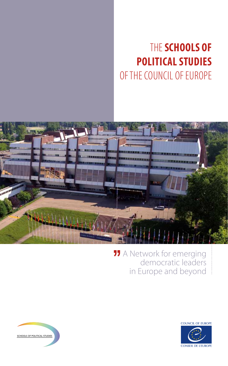# The **Schools of Political Studies** of the Council of Europe



### **11** A Network for emerging democratic leaders in Europe and beyond



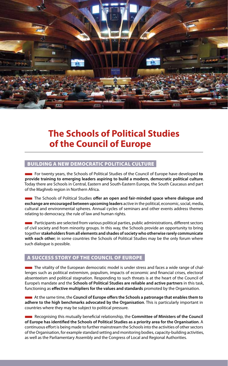

## **The Schools of Political Studies of the Council of Europe**

#### BUILding a new democratic political culture

■ For twenty years, the Schools of Political Studies of the Council of Europe have developed **to provide training to emerging leaders aspiring to build a modern, democratic political culture**. Today there are Schools in Central, Eastern and South-Eastern Europe, the South Caucasus and part of the Maghreb region in Northern Africa.

■ The Schools of Political Studies **offer an open and fair-minded space where dialogue and exchange are encouraged between upcoming leaders** active in the political, economic, social, media, cultural and environmental spheres. Annual cycles of seminars and other events address themes relating to democracy, the rule of law and human rights.

**EXECTED Participants are selected from various political parties, public administrations, different sectors** of civil society and from minority groups. In this way, the Schools provide an opportunity to bring together **stakeholders from all elements and shades of society who otherwise rarely communicate with each other**; in some countries the Schools of Political Studies may be the only forum where such dialogue is possible.

#### A success story of the Council of Europe

■ The vitality of the European democratic model is under stress and faces a wide range of challenges such as political extremism, populism, impacts of economic and financial crises, electoral absenteeism and political stagnation. Responding to such threats is at the heart of the Council of Europe's mandate and the **Schools of Political Studies are reliable and active partners** in this task, functioning as **effective multipliers for the values and standards** promoted by the Organisation.

■ At the same time, the **Council of Europe offers the Schools a patronage that enables them to adhere to the high benchmarks advocated by the Organisation**. This is particularly important in countries where they may be subject to political pressure.

■ Recognising this mutually beneficial relationship, the **Committee of Ministers of the Council of Europe has identified the Schools of Political Studies as a priority area for the Organisation**. A continuous effort is being made to further mainstream the Schools into the activities of other sectors of the Organisation, for example standard setting and monitoring bodies, capacity-building activities, as well as the Parliamentary Assembly and the Congress of Local and Regional Authorities.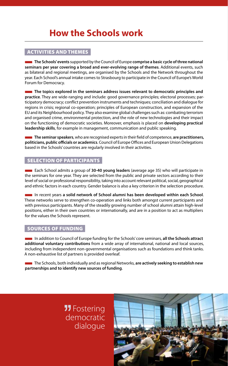### **How the Schools work**

#### Activities and themes

■ **The Schools' events** supported by the Council of Europe **comprise a basic cycle of three national seminars per year covering a broad and ever-evolving range of themes**. Additional events, such as bilateral and regional meetings, are organised by the Schools and the Network throughout the year. Each School's annual intake comes to Strasbourg to participate in the Council of Europe's World Forum for Democracy.

**The topics explored in the seminars address issues relevant to democratic principles and practice**. They are wide-ranging and include: good governance principles; electoral processes; participatory democracy; conflict prevention instruments and techniques; conciliation and dialogue for regions in crisis; regional co-operation; principles of European construction, and expansion of the EU and its Neighbourhood policy. They also examine global challenges such as: combating terrorism and organised crime, environmental protection, and the role of new technologies and their impact on the functioning of democratic societies. Moreover, emphasis is placed on **developing practical leadership skills**, for example in management, communication and public speaking.

■ **The seminar speakers**, who are recognised experts in their field of competence, **are practitioners, politicians, public officials or academics**. Council of Europe Offices and European Union Delegations based in the Schools' countries are regularly involved in their activities.

#### Selection of participants

**Each School admits a group of 30-40 young leaders** (average age 35) who will participate in the seminars for one year. They are selected from the public and private sectors according to their level of social or professional responsibility, taking into account relevant political, social, geographical and ethnic factors in each country. Gender balance is also a key criterion in the selection procedure.

■ In recent years **a solid network of School alumni has been developed within each School**. These networks serve to strengthen co-operation and links both amongst current participants and with previous participants. Many of the steadily growing number of school alumni attain high-level positions, either in their own countries or internationally, and are in a position to act as multipliers for the values the Schools represent.

#### Sources of funding

■ In addition to Council of Europe funding for the Schools' core seminars, **all the Schools attract additional voluntary contributions** from a wide array of international, national and local sources, including from independent non-governmental organisations such as foundations and think tanks. A non-exhaustive list of partners is provided overleaf.

■ The Schools, both individually and as regional Networks, **are actively seeking to establish new partnerships and to identify new sources of funding**.

### **JJ** Fostering democratic dialogue

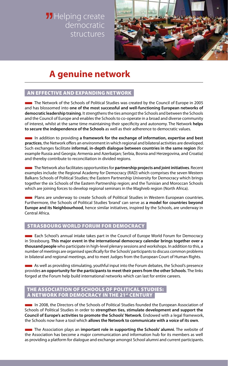**JJ** Helping create democratic structures



## **A genuine network**

#### An effective and expanding Network

■ The Network of the Schools of Political Studies was created by the Council of Europe in 2005 and has blossomed into **one of the most successful and well-functioning European networks of democratic leadership training**. It strengthens the ties amongst the Schools and between the Schools and the Council of Europe and enables the Schools to co-operate in a broad and diverse community of interest, whilst at the same time maintaining their specificity and autonomy. The Network **helps to secure the independence of the Schools** as well as their adherence to democratic values.

■ In addition to providing **a framework for the exchange of information, expertise and best practices**, the Network offers an environment in which regional and bilateral activities are developed. Such exchanges facilitate **informal, in-depth dialogue between countries in the same region** (for example Russia and Georgia; Armenia and Azerbaijan; Serbia, Bosnia and Herzegovina, and Croatia) and thereby contribute to reconciliation in divided regions.

■ The Network also facilitates opportunities for **partnership projects and joint initiatives**. Recent examples include: the Regional Academy for Democracy (RAD) which comprises the seven Western Balkans Schools of Political Studies; the Eastern Partnership University for Democracy which brings together the six Schools of the Eastern Partnership region; and the Tunisian and Moroccan Schools which are joining forces to develop regional seminars in the Maghreb region (North Africa).

**EXECUTE:** Plans are underway to create Schools of Political Studies in Western European countries. Furthermore, the Schools of Political Studies 'brand' can serve as **a model for countries beyond Europe and its Neighbourhood**, hence similar initiatives, inspired by the Schools, are underway in Central Africa.

#### Strasbourg World Forum for Democracy

■ Each School's annual intake takes part in the Council of Europe World Forum for Democracy in Strasbourg. **This major event in the international democracy calendar brings together over a thousand people** who participate in high-level plenary sessions and workshops. In addition to this, a number of meetings are organised specifically for the Schools' participants to discuss common problems in bilateral and regional meetings, and to meet Judges from the European Court of Human Rights.

■ As well as providing stimulating, youthful input into the Forum debates, the School's presence provides **an opportunity for the participants to meet their peers from the other Schools**. The links forged at the Forum help build international networks which can last for entire careers.

#### The Association of Schools of Political Studies: A NETWORK FOR DEMOCRACY IN THE 21st CENTURY

■ In 2008, the Directors of the Schools of Political Studies founded the European Association of Schools of Political Studies in order to **strengthen ties, stimulate development and support the Council of Europe's activities to promote the Schools' Network**. Endowed with a legal framework, the Schools now have a tool which **allows the Network to communicate with a voice of its own**.

■ The Association plays an **important role in supporting the Schools' alumni**. The website of the Association has become a major communication and information hub for its members as well as providing a platform for dialogue and exchange amongst School alumni and current participants.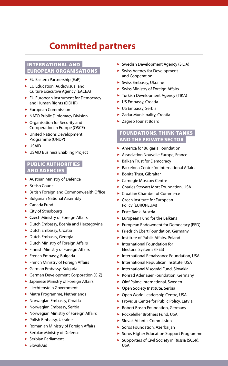### **Committed partners**

#### International and European organisations

- $\blacktriangleright$  EU Eastern Partnership (EaP)
- $\blacktriangleright$  EU Education, Audiovisual and Culture Executive Agency (EACEA)
- $\blacktriangleright$  EU European Instrument for Democracy and Human Rights (EIDHR)
- $\blacktriangleright$  European Commission
- NATO Public Diplomacy Division
- $\triangleright$  Organisation for Security and Co-operation in Europe (OSCE)
- ▶ United Nations Development Programme (UNDP)
- $\triangleright$  USAID
- ▶ USAID Business Enabling Project

#### Public authorities and agencies

- $\blacktriangleright$  Austrian Ministry of Defence
- $\triangleright$  British Council
- **>** British Foreign and Commonwealth Office
- $\blacktriangleright$  Bulgarian National Assembly
- $\blacktriangleright$  Canada Fund
- $\blacktriangleright$  City of Strasbourg
- ▶ Czech Ministry of Foreign Affairs
- $\blacktriangleright$  Dutch Embassy, Bosnia and Herzegovina
- $\blacktriangleright$  Dutch Embassy, Croatia
- **>** Dutch Embassy, Georgia
- $\blacktriangleright$  Dutch Ministry of Foreign Affairs
- **>** Finnish Ministry of Foreign Affairs
- $\blacktriangleright$  French Embassy, Bulgaria
- $\blacktriangleright$  French Ministry of Foreign Affairs
- German Embassy, Bulgaria
- German Development Corporation (GIZ)
- $\blacktriangleright$  Japanese Ministry of Foreign Affairs
- **>** Liechtenstein Government
- $\blacktriangleright$  Matra Programme, Netherlands
- $\blacktriangleright$  Norwegian Embassy, Croatia
- $\blacktriangleright$  Norwegian Embassy, Serbia
- $\blacktriangleright$  Norwegian Ministry of Foreign Affairs
- $\blacktriangleright$  Polish Embassy, Ukraine
- $\blacktriangleright$  Romanian Ministry of Foreign Affairs
- $\blacktriangleright$  Serbian Ministry of Defence
- $\blacktriangleright$  Serbian Parliament
- $\blacktriangleright$  SlovakAid
- ▶ Swedish Development Agency (SIDA)
- $\blacktriangleright$  Swiss Agency for Development and Cooperation
- $\blacktriangleright$  Swiss Embassy, Ukraine
- $\triangleright$  Swiss Ministry of Foreign Affairs
- $\blacktriangleright$  Turkish Development Agency (TIKA)
- ► US Embassy, Croatia
- ► US Embassy, Serbia
- $\blacktriangleright$  Zadar Municipality, Croatia
- $\blacktriangleright$  Zagreb Tourist Board

#### Foundations, think-tanks and the private sector

- $\blacktriangleright$  America for Bulgaria Foundation
- **> Association Nouvelle Europe, France**
- $\blacktriangleright$  Balkan Trust for Democracy
- $\triangleright$  Barcelona Centre for International Affairs
- $\blacktriangleright$  Bonita Trust, Gibraltar
- **> Carnegie Moscow Centre**
- **>** Charles Stewart Mott Foundation, USA
- ▶ Croatian Chamber of Commerce
- $\blacktriangleright$  Czech Institute for European Policy (EUROPEUM)
- ► Erste Bank, Austria
- $\blacktriangleright$  European Fund for the Balkans
- **>** European Endowment for Democracy (EED)
- **Friedrich Ebert Foundation, Germany**
- $\blacktriangleright$  Institute of Public Affairs, Poland
- $\blacktriangleright$  International Foundation for Electoral Systems (IFES)
- **> International Renaissance Foundation, USA**
- **> International Republican Institute, USA**
- ▶ International Visegrád Fund, Slovakia
- ▶ Konrad Adenauer Foundation, Germany
- $\triangleright$  Olof Palme International, Sweden
- $\triangleright$  Open Society Institute, Serbia
- ▶ Open World Leadership Centre, USA
- Providus Centre for Public Policy, Latvia
- ▶ Robert Bosch Foundation, Germany
- ▶ Rockefeller Brothers Fund, USA
- $\blacktriangleright$  Slovak Atlantic Commission
- $\blacktriangleright$  Soros Foundation, Azerbaijan
- **> Soros Higher Education Support Programme**
- $\triangleright$  Supporters of Civil Society in Russia (SCSR), USA